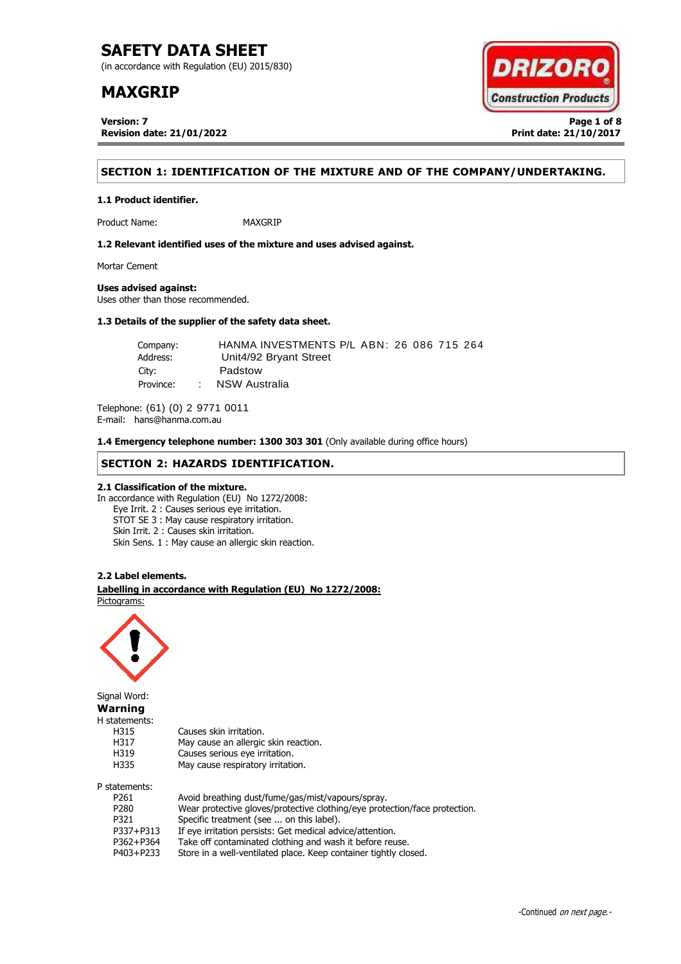(in accordance with Regulation (EU) 2015/830)

# **MAXGRIP**

**Version: 7 Page 1 of 8 Revision date: 21/01/2022 Print date: 21/10/2017**



## **SECTION 1: IDENTIFICATION OF THE MIXTURE AND OF THE COMPANY/UNDERTAKING.**

Product Name: MAXGRIP

**1.2 Relevant identified uses of the mixture and uses advised against.**

Mortar Cement

### **Uses advised against:**

**1.1 Product identifier.**

Uses other than those recommended.

### **1.3 Details of the supplier of the safety data sheet.**

| Company:  |        | HANMA INVESTMENTS P/L ABN: 26 086 715 264 |
|-----------|--------|-------------------------------------------|
| Address:  |        | Unit4/92 Bryant Street                    |
| City:     |        | Padstow                                   |
| Province: | $\sim$ | NSW Australia                             |

Telephone: (61) (0) 2 9771 0011 E-mail: hans@hanma.com.au

**1.4 Emergency telephone number: 1300 303 301** (Only available during office hours)

### **SECTION 2: HAZARDS IDENTIFICATION.**

### **2.1 Classification of the mixture.**

In accordance with Regulation (EU) No 1272/2008: Eye Irrit. 2 : Causes serious eye irritation. STOT SE 3 : May cause respiratory irritation. Skin Irrit. 2 : Causes skin irritation. Skin Sens. 1 : May cause an allergic skin reaction.

### **2.2 Label elements.**

. **Labelling in accordance with Regulation (EU) No 1272/2008:** Pictograms:

May cause an allergic skin reaction.



Signal Word: **Warning** H statements: H315 Causes skin irritation.<br>H317 May cause an allergic H319 Causes serious eye irritation. H335 May cause respiratory irritation. P statements:

| P261      | Avoid breathing dust/fume/gas/mist/vapours/spray.                          |
|-----------|----------------------------------------------------------------------------|
| P280      | Wear protective gloves/protective clothing/eye protection/face protection. |
| P321      | Specific treatment (see  on this label).                                   |
| P337+P313 | If eye irritation persists: Get medical advice/attention.                  |
| P362+P364 | Take off contaminated clothing and wash it before reuse.                   |
| P403+P233 | Store in a well-ventilated place. Keep container tightly closed.           |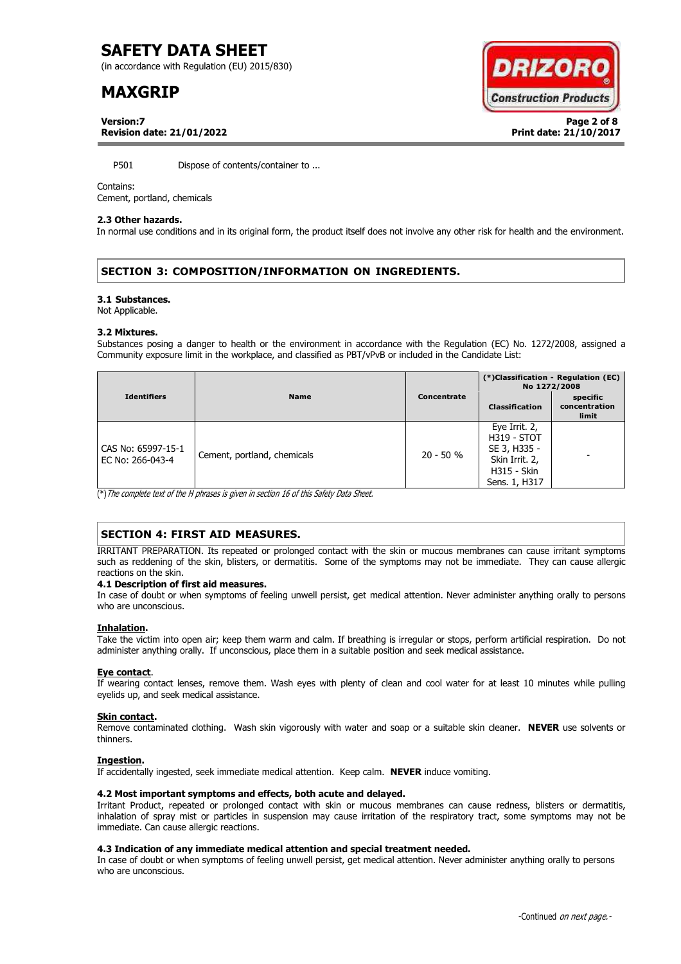(in accordance with Regulation (EU) 2015/830)

# **MAXGRIP**



**Version:7 Page 2 of 8 Revision date: 21/01/2022 Print date: 21/10/2017**

P501 Dispose of contents/container to ...

### Contains:

Cement, portland, chemicals

### **2.3 Other hazards.**

In normal use conditions and in its original form, the product itself does not involve any other risk for health and the environment.

# **SECTION 3: COMPOSITION/INFORMATION ON INGREDIENTS.**

#### **3.1 Substances.**

Not Applicable.

### **3.2 Mixtures.**

Substances posing a danger to health or the environment in accordance with the Regulation (EC) No. 1272/2008, assigned a Community exposure limit in the workplace, and classified as PBT/vPvB or included in the Candidate List:

|                                        |                             |             | (*)Classification - Regulation (EC)<br>No 1272/2008                                                          |                                    |
|----------------------------------------|-----------------------------|-------------|--------------------------------------------------------------------------------------------------------------|------------------------------------|
| <b>Identifiers</b>                     | <b>Name</b>                 | Concentrate | <b>Classification</b>                                                                                        | specific<br>concentration<br>limit |
| CAS No: 65997-15-1<br>EC No: 266-043-4 | Cement, portland, chemicals | $20 - 50 %$ | Eye Irrit. 2,<br><b>H319 - STOT</b><br>SE 3, H335 -<br>Skin Irrit. 2,<br><b>H315 - Skin</b><br>Sens. 1, H317 |                                    |

(\*)The complete text of the H phrases is given in section 16 of this Safety Data Sheet.

## **SECTION 4: FIRST AID MEASURES.**

IRRITANT PREPARATION. Its repeated or prolonged contact with the skin or mucous membranes can cause irritant symptoms such as reddening of the skin, blisters, or dermatitis. Some of the symptoms may not be immediate. They can cause allergic reactions on the skin.

### **4.1 Description of first aid measures.**

In case of doubt or when symptoms of feeling unwell persist, get medical attention. Never administer anything orally to persons who are unconscious.

### **Inhalation.**

Take the victim into open air; keep them warm and calm. If breathing is irregular or stops, perform artificial respiration. Do not administer anything orally. If unconscious, place them in a suitable position and seek medical assistance.

### **Eye contact**.

If wearing contact lenses, remove them. Wash eyes with plenty of clean and cool water for at least 10 minutes while pulling eyelids up, and seek medical assistance.

### **Skin contact.**

Remove contaminated clothing. Wash skin vigorously with water and soap or a suitable skin cleaner. **NEVER** use solvents or thinners.

### **Ingestion.**

If accidentally ingested, seek immediate medical attention. Keep calm. **NEVER** induce vomiting.

### **4.2 Most important symptoms and effects, both acute and delayed.**

Irritant Product, repeated or prolonged contact with skin or mucous membranes can cause redness, blisters or dermatitis, inhalation of spray mist or particles in suspension may cause irritation of the respiratory tract, some symptoms may not be immediate. Can cause allergic reactions.

### **4.3 Indication of any immediate medical attention and special treatment needed.**

In case of doubt or when symptoms of feeling unwell persist, get medical attention. Never administer anything orally to persons who are unconscious.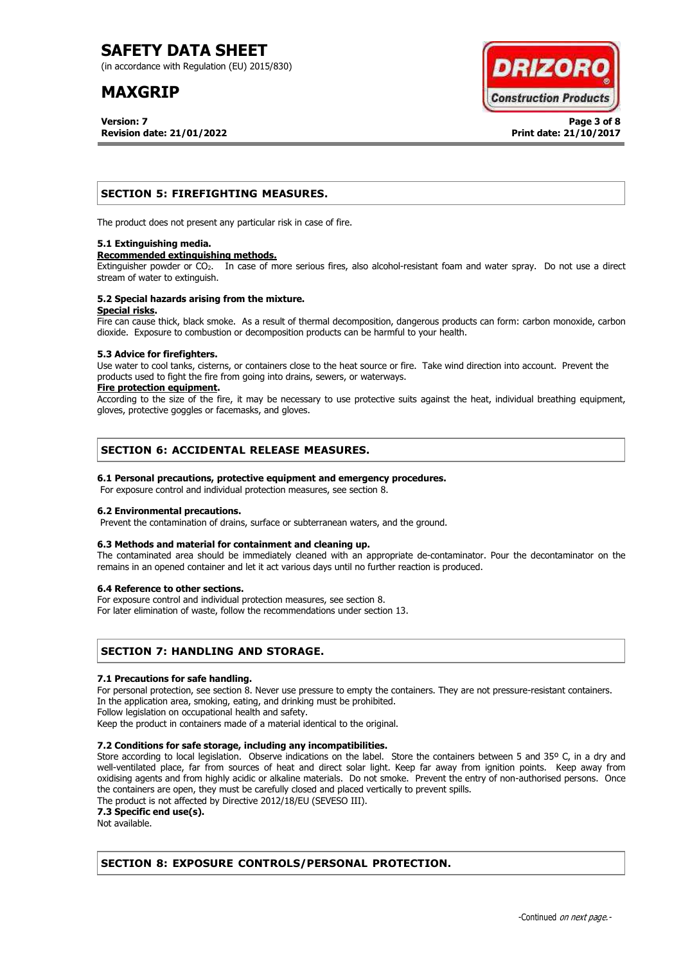(in accordance with Regulation (EU) 2015/830)

# **MAXGRIP**

**Version: 7 Page 3 of 8 Revision date: 21/01/2022 Print date: 21/10/2017**



### **SECTION 5: FIREFIGHTING MEASURES.**

The product does not present any particular risk in case of fire.

### **5.1 Extinguishing media.**

#### **Recommended extinguishing methods.**

Extinguisher powder or CO<sub>2</sub>. In case of more serious fires, also alcohol-resistant foam and water spray. Do not use a direct stream of water to extinguish.

#### **5.2 Special hazards arising from the mixture. Special risks.**

Fire can cause thick, black smoke. As a result of thermal decomposition, dangerous products can form: carbon monoxide, carbon dioxide. Exposure to combustion or decomposition products can be harmful to your health.

### **5.3 Advice for firefighters.**

Use water to cool tanks, cisterns, or containers close to the heat source or fire. Take wind direction into account. Prevent the products used to fight the fire from going into drains, sewers, or waterways.

### **Fire protection equipment.**

According to the size of the fire, it may be necessary to use protective suits against the heat, individual breathing equipment, gloves, protective goggles or facemasks, and gloves.

### **SECTION 6: ACCIDENTAL RELEASE MEASURES.**

### **6.1 Personal precautions, protective equipment and emergency procedures.**

For exposure control and individual protection measures, see section 8.

### **6.2 Environmental precautions.**

Prevent the contamination of drains, surface or subterranean waters, and the ground.

### **6.3 Methods and material for containment and cleaning up.**

The contaminated area should be immediately cleaned with an appropriate de-contaminator. Pour the decontaminator on the remains in an opened container and let it act various days until no further reaction is produced.

### **6.4 Reference to other sections.**

For exposure control and individual protection measures, see section 8.

For later elimination of waste, follow the recommendations under section 13.

### **SECTION 7: HANDLING AND STORAGE.**

### **7.1 Precautions for safe handling.**

For personal protection, see section 8. Never use pressure to empty the containers. They are not pressure-resistant containers. In the application area, smoking, eating, and drinking must be prohibited.

Follow legislation on occupational health and safety.

Keep the product in containers made of a material identical to the original.

### **7.2 Conditions for safe storage, including any incompatibilities.**

Store according to local legislation. Observe indications on the label. Store the containers between 5 and 35° C, in a dry and well-ventilated place, far from sources of heat and direct solar light. Keep far away from ignition points. Keep away from oxidising agents and from highly acidic or alkaline materials. Do not smoke. Prevent the entry of non-authorised persons. Once the containers are open, they must be carefully closed and placed vertically to prevent spills.

The product is not affected by Directive 2012/18/EU (SEVESO III).

**7.3 Specific end use(s).**

Not available.

## **SECTION 8: EXPOSURE CONTROLS/PERSONAL PROTECTION.**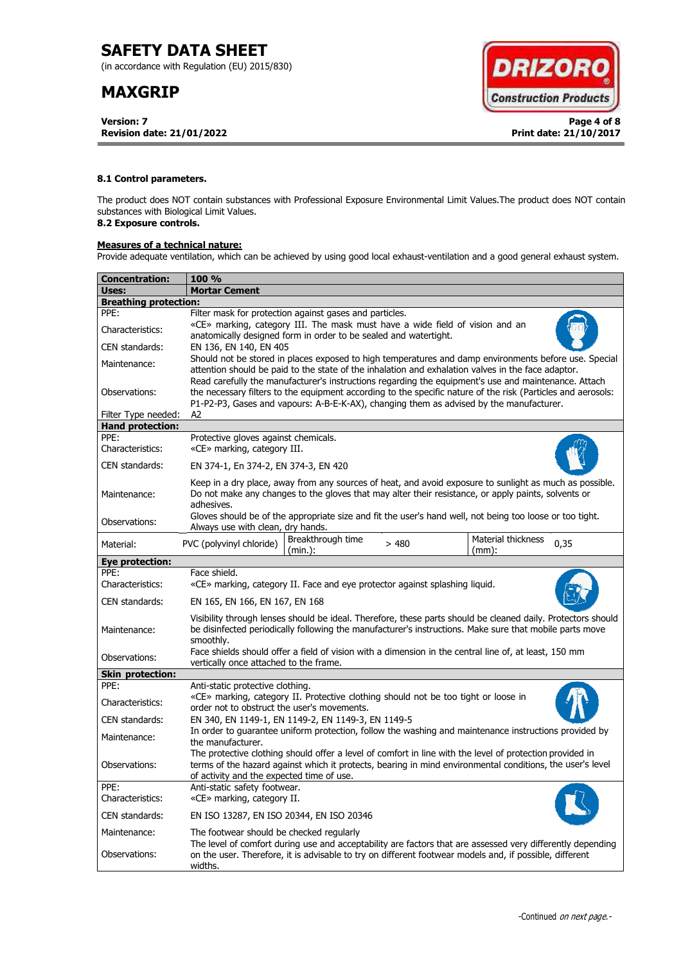(in accordance with Regulation (EU) 2015/830)

# **MAXGRIP**

**Version: 7 Page 4 of 8 Revision date: 21/01/2022 Print date: 21/10/2017**



### **8.1 Control parameters.**

The product does NOT contain substances with Professional Exposure Environmental Limit Values.The product does NOT contain substances with Biological Limit Values.

# **8.2 Exposure controls.**

### **Measures of a technical nature:**

Provide adequate ventilation, which can be achieved by using good local exhaust-ventilation and a good general exhaust system.

| <b>Concentration:</b>        | <b>100 %</b>                                                                                                                                                                                                                                                                                                        |  |  |  |  |  |
|------------------------------|---------------------------------------------------------------------------------------------------------------------------------------------------------------------------------------------------------------------------------------------------------------------------------------------------------------------|--|--|--|--|--|
| Uses:                        | <b>Mortar Cement</b>                                                                                                                                                                                                                                                                                                |  |  |  |  |  |
| <b>Breathing protection:</b> |                                                                                                                                                                                                                                                                                                                     |  |  |  |  |  |
| PPE:                         | Filter mask for protection against gases and particles.                                                                                                                                                                                                                                                             |  |  |  |  |  |
| Characteristics:             | «CE» marking, category III. The mask must have a wide field of vision and an<br>anatomically designed form in order to be sealed and watertight.                                                                                                                                                                    |  |  |  |  |  |
| CEN standards:               | EN 136, EN 140, EN 405                                                                                                                                                                                                                                                                                              |  |  |  |  |  |
| Maintenance:                 | Should not be stored in places exposed to high temperatures and damp environments before use. Special<br>attention should be paid to the state of the inhalation and exhalation valves in the face adaptor.<br>Read carefully the manufacturer's instructions regarding the equipment's use and maintenance. Attach |  |  |  |  |  |
| Observations:                | the necessary filters to the equipment according to the specific nature of the risk (Particles and aerosols:<br>P1-P2-P3, Gases and vapours: A-B-E-K-AX), changing them as advised by the manufacturer.                                                                                                             |  |  |  |  |  |
| Filter Type needed:          | A2                                                                                                                                                                                                                                                                                                                  |  |  |  |  |  |
| <b>Hand protection:</b>      |                                                                                                                                                                                                                                                                                                                     |  |  |  |  |  |
| PPE:<br>Characteristics:     | Protective gloves against chemicals.<br>«CE» marking, category III.                                                                                                                                                                                                                                                 |  |  |  |  |  |
| CEN standards:               | EN 374-1, En 374-2, EN 374-3, EN 420                                                                                                                                                                                                                                                                                |  |  |  |  |  |
| Maintenance:                 | Keep in a dry place, away from any sources of heat, and avoid exposure to sunlight as much as possible.<br>Do not make any changes to the gloves that may alter their resistance, or apply paints, solvents or<br>adhesives.                                                                                        |  |  |  |  |  |
| Observations:                | Gloves should be of the appropriate size and fit the user's hand well, not being too loose or too tight.<br>Always use with clean, dry hands.                                                                                                                                                                       |  |  |  |  |  |
| Material:                    | Breakthrough time<br>Material thickness<br>PVC (polyvinyl chloride)<br>0,35<br>>480<br>(min.):<br>$(mm)$ :                                                                                                                                                                                                          |  |  |  |  |  |
| Eye protection:              |                                                                                                                                                                                                                                                                                                                     |  |  |  |  |  |
| PPE:<br>Characteristics:     | Face shield.<br>«CE» marking, category II. Face and eye protector against splashing liquid.                                                                                                                                                                                                                         |  |  |  |  |  |
| CEN standards:               | EN 165, EN 166, EN 167, EN 168                                                                                                                                                                                                                                                                                      |  |  |  |  |  |
| Maintenance:                 | Visibility through lenses should be ideal. Therefore, these parts should be cleaned daily. Protectors should<br>be disinfected periodically following the manufacturer's instructions. Make sure that mobile parts move<br>smoothly.                                                                                |  |  |  |  |  |
| Observations:                | Face shields should offer a field of vision with a dimension in the central line of, at least, 150 mm<br>vertically once attached to the frame.                                                                                                                                                                     |  |  |  |  |  |
| <b>Skin protection:</b>      |                                                                                                                                                                                                                                                                                                                     |  |  |  |  |  |
| PPE:                         | Anti-static protective clothing.                                                                                                                                                                                                                                                                                    |  |  |  |  |  |
| Characteristics:             | «CE» marking, category II. Protective clothing should not be too tight or loose in<br>order not to obstruct the user's movements.                                                                                                                                                                                   |  |  |  |  |  |
| CEN standards:               | EN 340, EN 1149-1, EN 1149-2, EN 1149-3, EN 1149-5                                                                                                                                                                                                                                                                  |  |  |  |  |  |
| Maintenance:                 | In order to guarantee uniform protection, follow the washing and maintenance instructions provided by<br>the manufacturer.                                                                                                                                                                                          |  |  |  |  |  |
| Observations:                | The protective clothing should offer a level of comfort in line with the level of protection provided in<br>terms of the hazard against which it protects, bearing in mind environmental conditions, the user's level<br>of activity and the expected time of use.                                                  |  |  |  |  |  |
| PPE:<br>Characteristics:     | Anti-static safety footwear.<br>«CE» marking, category II.                                                                                                                                                                                                                                                          |  |  |  |  |  |
| CEN standards:               | EN ISO 13287, EN ISO 20344, EN ISO 20346                                                                                                                                                                                                                                                                            |  |  |  |  |  |
| Maintenance:                 | The footwear should be checked regularly                                                                                                                                                                                                                                                                            |  |  |  |  |  |
| Observations:                | The level of comfort during use and acceptability are factors that are assessed very differently depending<br>on the user. Therefore, it is advisable to try on different footwear models and, if possible, different<br>widths.                                                                                    |  |  |  |  |  |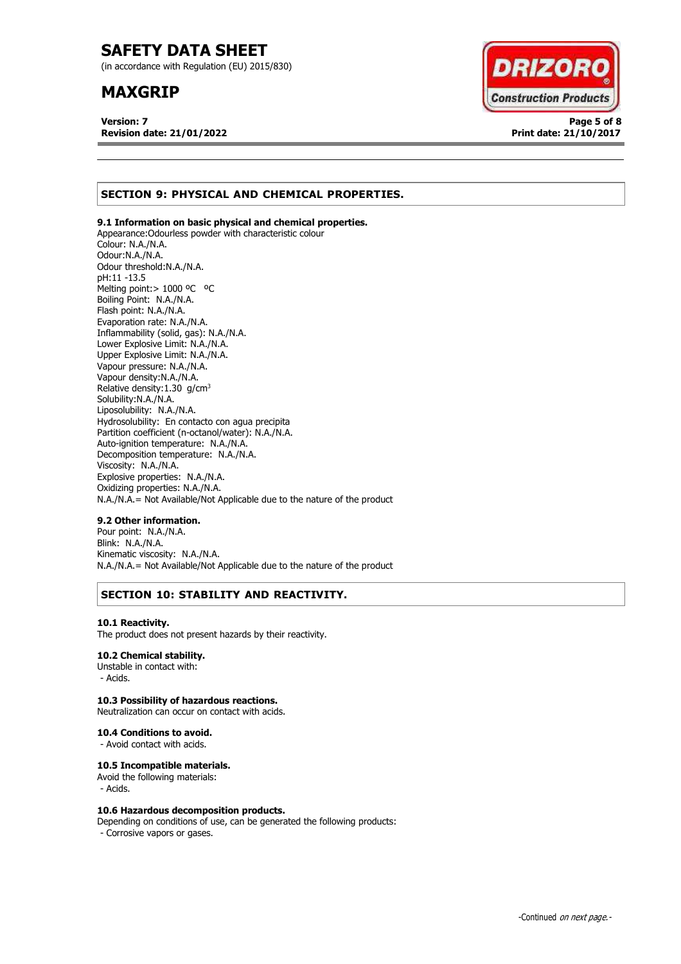(in accordance with Regulation (EU) 2015/830)

# **MAXGRIP**

**Version: 7 Page 5 of 8 Revision date: 21/01/2022 Print date: 21/10/2017**



# **SECTION 9: PHYSICAL AND CHEMICAL PROPERTIES.**

### **9.1 Information on basic physical and chemical properties.**

Appearance:Odourless powder with characteristic colour Colour: N.A./N.A. Odour:N.A./N.A. Odour threshold:N.A./N.A. pH:11 -13.5 Melting point: > 1000 °C °C Boiling Point: N.A./N.A. Flash point: N.A./N.A. Evaporation rate: N.A./N.A. Inflammability (solid, gas): N.A./N.A. Lower Explosive Limit: N.A./N.A. Upper Explosive Limit: N.A./N.A. Vapour pressure: N.A./N.A. Vapour density:N.A./N.A. Relative density:  $1.30$  g/cm<sup>3</sup> Solubility:N.A./N.A. Liposolubility: N.A./N.A. Hydrosolubility: En contacto con agua precipita Partition coefficient (n-octanol/water): N.A./N.A. Auto-ignition temperature: N.A./N.A. Decomposition temperature: N.A./N.A. Viscosity: N.A./N.A. Explosive properties: N.A./N.A. Oxidizing properties: N.A./N.A. N.A./N.A.= Not Available/Not Applicable due to the nature of the product

### **9.2 Other information.**

Pour point: N.A./N.A. Blink: N.A./N.A. Kinematic viscosity: N.A./N.A. N.A./N.A.= Not Available/Not Applicable due to the nature of the product

# **SECTION 10: STABILITY AND REACTIVITY.**

### **10.1 Reactivity.**

The product does not present hazards by their reactivity.

### **10.2 Chemical stability.**

Unstable in contact with: - Acids.

### **10.3 Possibility of hazardous reactions.**

Neutralization can occur on contact with acids.

### **10.4 Conditions to avoid.**

- Avoid contact with acids.

### **10.5 Incompatible materials.**

Avoid the following materials: - Acids.

### **10.6 Hazardous decomposition products.**

Depending on conditions of use, can be generated the following products: - Corrosive vapors or gases.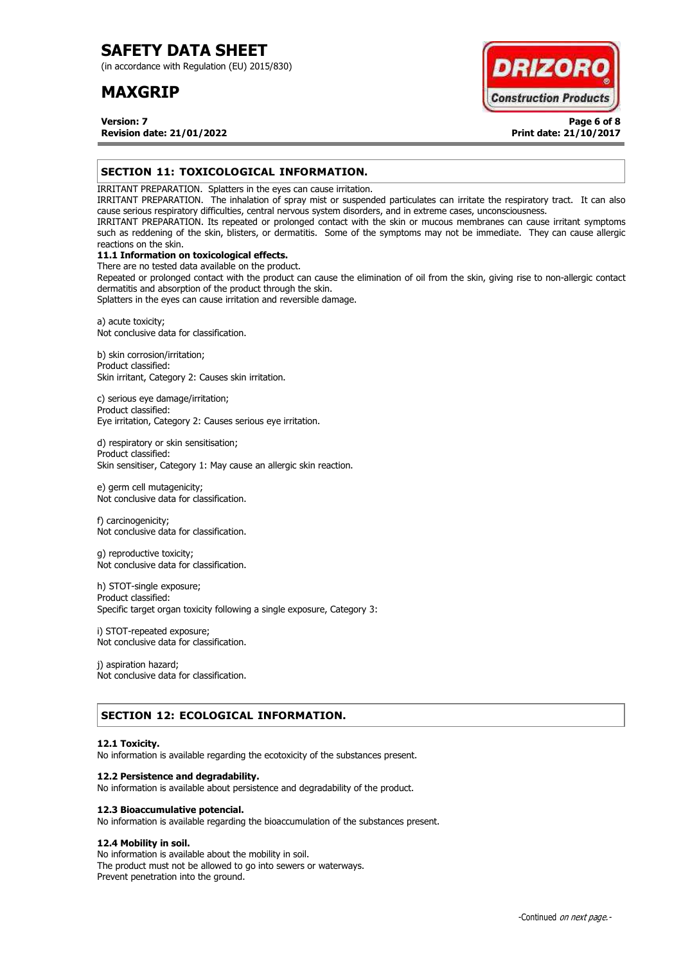(in accordance with Regulation (EU) 2015/830)

# **MAXGRIP**



**Version: 7 Page 6 of 8 Revision date: 21/01/2022 Print date: 21/10/2017**

### **SECTION 11: TOXICOLOGICAL INFORMATION.**

IRRITANT PREPARATION. Splatters in the eyes can cause irritation.

IRRITANT PREPARATION. The inhalation of spray mist or suspended particulates can irritate the respiratory tract. It can also cause serious respiratory difficulties, central nervous system disorders, and in extreme cases, unconsciousness.

IRRITANT PREPARATION. Its repeated or prolonged contact with the skin or mucous membranes can cause irritant symptoms such as reddening of the skin, blisters, or dermatitis. Some of the symptoms may not be immediate. They can cause allergic reactions on the skin.

# **11.1 Information on toxicological effects.**

There are no tested data available on the product. Repeated or prolonged contact with the product can cause the elimination of oil from the skin, giving rise to non-allergic contact dermatitis and absorption of the product through the skin.

Splatters in the eyes can cause irritation and reversible damage.

a) acute toxicity; Not conclusive data for classification.

b) skin corrosion/irritation; Product classified: Skin irritant, Category 2: Causes skin irritation.

c) serious eye damage/irritation; Product classified: Eye irritation, Category 2: Causes serious eye irritation.

d) respiratory or skin sensitisation; Product classified: Skin sensitiser, Category 1: May cause an allergic skin reaction.

e) germ cell mutagenicity; Not conclusive data for classification.

f) carcinogenicity; Not conclusive data for classification.

g) reproductive toxicity; Not conclusive data for classification.

h) STOT-single exposure; Product classified: Specific target organ toxicity following a single exposure, Category 3:

i) STOT-repeated exposure; Not conclusive data for classification.

j) aspiration hazard; Not conclusive data for classification.

## **SECTION 12: ECOLOGICAL INFORMATION.**

### **12.1 Toxicity.**

No information is available regarding the ecotoxicity of the substances present.

### **12.2 Persistence and degradability.**

No information is available about persistence and degradability of the product.

### **12.3 Bioaccumulative potencial.**

No information is available regarding the bioaccumulation of the substances present.

### **12.4 Mobility in soil.**

No information is available about the mobility in soil. The product must not be allowed to go into sewers or waterways. Prevent penetration into the ground.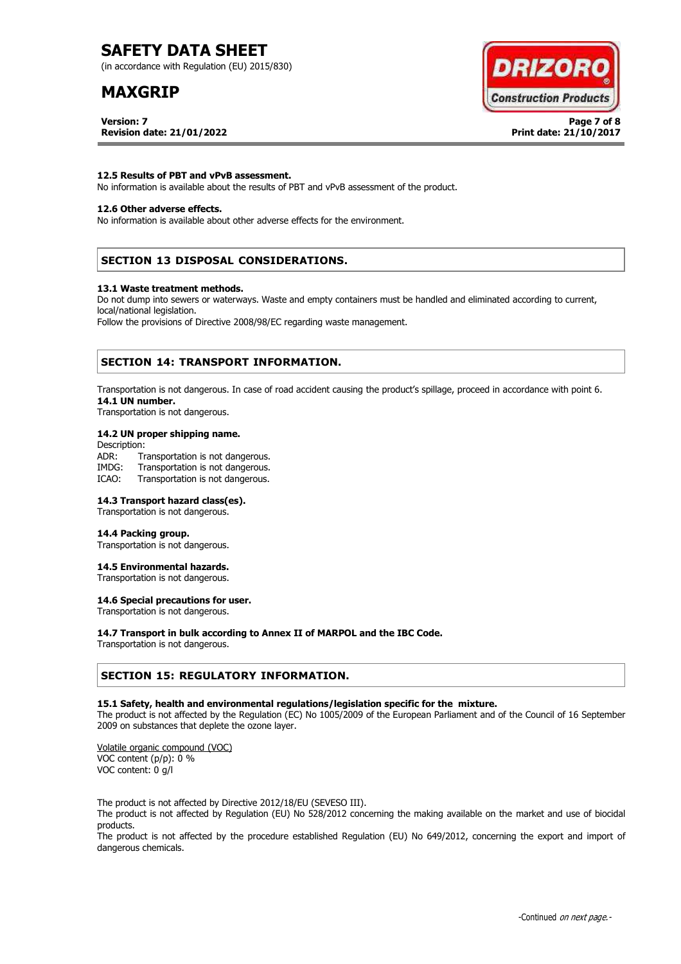(in accordance with Regulation (EU) 2015/830)

# **MAXGRIP**

**Version: 7 Page 7 of 8 Revision date: 21/01/2022 Print date: 21/10/2017**



### **12.5 Results of PBT and vPvB assessment.**

No information is available about the results of PBT and vPvB assessment of the product.

### **12.6 Other adverse effects.**

No information is available about other adverse effects for the environment.

### **SECTION 13 DISPOSAL CONSIDERATIONS.**

#### **13.1 Waste treatment methods.**

Do not dump into sewers or waterways. Waste and empty containers must be handled and eliminated according to current, local/national legislation.

Follow the provisions of Directive 2008/98/EC regarding waste management.

### **SECTION 14: TRANSPORT INFORMATION.**

Transportation is not dangerous. In case of road accident causing the product's spillage, proceed in accordance with point 6. **14.1 UN number.**

Transportation is not dangerous.

### **14.2 UN proper shipping name.**

Description: ADR: Transportation is not dangerous.<br>IMDG: Transportation is not dangerous. Transportation is not dangerous. ICAO: Transportation is not dangerous.

#### **14.3 Transport hazard class(es).**

Transportation is not dangerous.

#### **14.4 Packing group.**

Transportation is not dangerous.

#### **14.5 Environmental hazards.**

Transportation is not dangerous.

### **14.6 Special precautions for user.**

Transportation is not dangerous.

### **14.7 Transport in bulk according to Annex II of MARPOL and the IBC Code.**

Transportation is not dangerous.

### **SECTION 15: REGULATORY INFORMATION.**

#### **15.1 Safety, health and environmental regulations/legislation specific for the mixture.**

The product is not affected by the Regulation (EC) No 1005/2009 of the European Parliament and of the Council of 16 September 2009 on substances that deplete the ozone layer.

Volatile organic compound (VOC) VOC content (p/p): 0 % VOC content: 0 g/l

The product is not affected by Directive 2012/18/EU (SEVESO III).

The product is not affected by Regulation (EU) No 528/2012 concerning the making available on the market and use of biocidal products.

The product is not affected by the procedure established Regulation (EU) No 649/2012, concerning the export and import of dangerous chemicals.